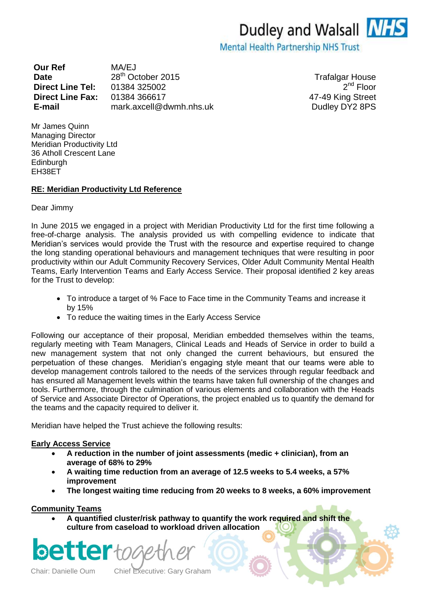**Our Ref** MA/EJ **Date** 28<sup>th</sup> October 2015 **Trafalgar House Direct Line Tel:** 01384 325002 **Direct Line Fax:** 01384 366617 47-49 King Street **E-mail** mark.axcell@dwmh.nhs.uk Dudley DY2 8PS

 $2^{nd}$  Floor

Mr James Quinn Managing Director Meridian Productivity Ltd 36 Atholl Crescent Lane **Edinburgh** EH38ET

## **RE: Meridian Productivity Ltd Reference**

Dear Jimmy

In June 2015 we engaged in a project with Meridian Productivity Ltd for the first time following a free-of-charge analysis. The analysis provided us with compelling evidence to indicate that Meridian's services would provide the Trust with the resource and expertise required to change the long standing operational behaviours and management techniques that were resulting in poor productivity within our Adult Community Recovery Services, Older Adult Community Mental Health Teams, Early Intervention Teams and Early Access Service. Their proposal identified 2 key areas for the Trust to develop:

- To introduce a target of % Face to Face time in the Community Teams and increase it by 15%
- To reduce the waiting times in the Early Access Service

Following our acceptance of their proposal, Meridian embedded themselves within the teams, regularly meeting with Team Managers, Clinical Leads and Heads of Service in order to build a new management system that not only changed the current behaviours, but ensured the perpetuation of these changes. Meridian's engaging style meant that our teams were able to develop management controls tailored to the needs of the services through regular feedback and has ensured all Management levels within the teams have taken full ownership of the changes and tools. Furthermore, through the culmination of various elements and collaboration with the Heads of Service and Associate Director of Operations, the project enabled us to quantify the demand for the teams and the capacity required to deliver it.

Meridian have helped the Trust achieve the following results:

## **Early Access Service**

- **A reduction in the number of joint assessments (medic + clinician), from an average of 68% to 29%**
- **A waiting time reduction from an average of 12.5 weeks to 5.4 weeks, a 57% improvement**
- **The longest waiting time reducing from 20 weeks to 8 weeks, a 60% improvement**

## **Community Teams**

 **A quantified cluster/risk pathway to quantify the work required and shift the culture from caseload to workload driven allocation**